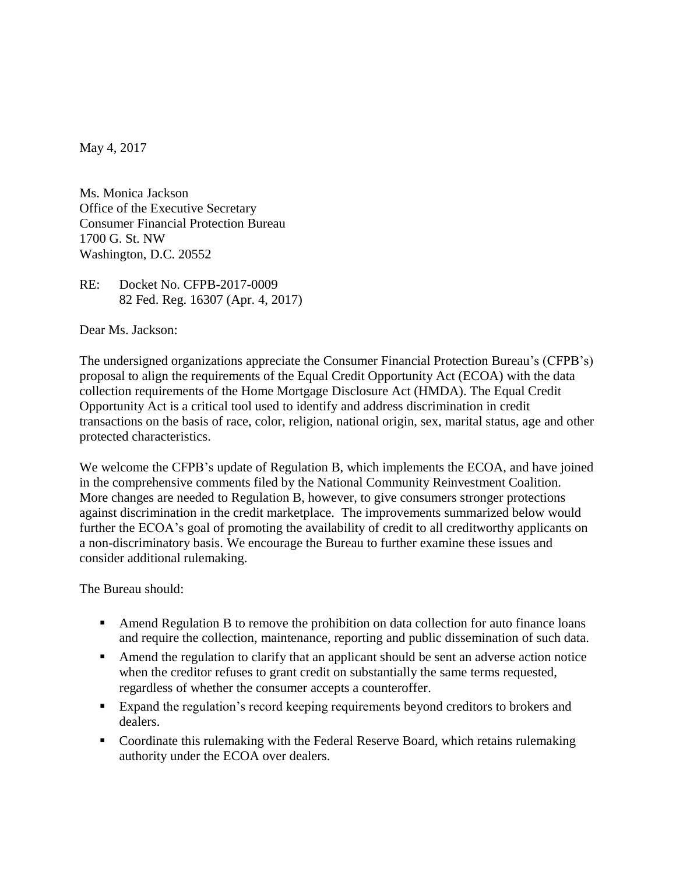May 4, 2017

Ms. Monica Jackson Office of the Executive Secretary Consumer Financial Protection Bureau 1700 G. St. NW Washington, D.C. 20552

RE: Docket No. CFPB-2017-0009 82 Fed. Reg. 16307 (Apr. 4, 2017)

Dear Ms. Jackson:

The undersigned organizations appreciate the Consumer Financial Protection Bureau's (CFPB's) proposal to align the requirements of the Equal Credit Opportunity Act (ECOA) with the data collection requirements of the Home Mortgage Disclosure Act (HMDA). The Equal Credit Opportunity Act is a critical tool used to identify and address discrimination in credit transactions on the basis of race, color, religion, national origin, sex, marital status, age and other protected characteristics.

We welcome the CFPB's update of Regulation B, which implements the ECOA, and have joined in the comprehensive comments filed by the National Community Reinvestment Coalition. More changes are needed to Regulation B, however, to give consumers stronger protections against discrimination in the credit marketplace. The improvements summarized below would further the ECOA's goal of promoting the availability of credit to all creditworthy applicants on a non-discriminatory basis. We encourage the Bureau to further examine these issues and consider additional rulemaking.

The Bureau should:

- **Amend Regulation B to remove the prohibition on data collection for auto finance loans** and require the collection, maintenance, reporting and public dissemination of such data.
- Amend the regulation to clarify that an applicant should be sent an adverse action notice when the creditor refuses to grant credit on substantially the same terms requested, regardless of whether the consumer accepts a counteroffer.
- Expand the regulation's record keeping requirements beyond creditors to brokers and dealers.
- Coordinate this rulemaking with the Federal Reserve Board, which retains rulemaking authority under the ECOA over dealers.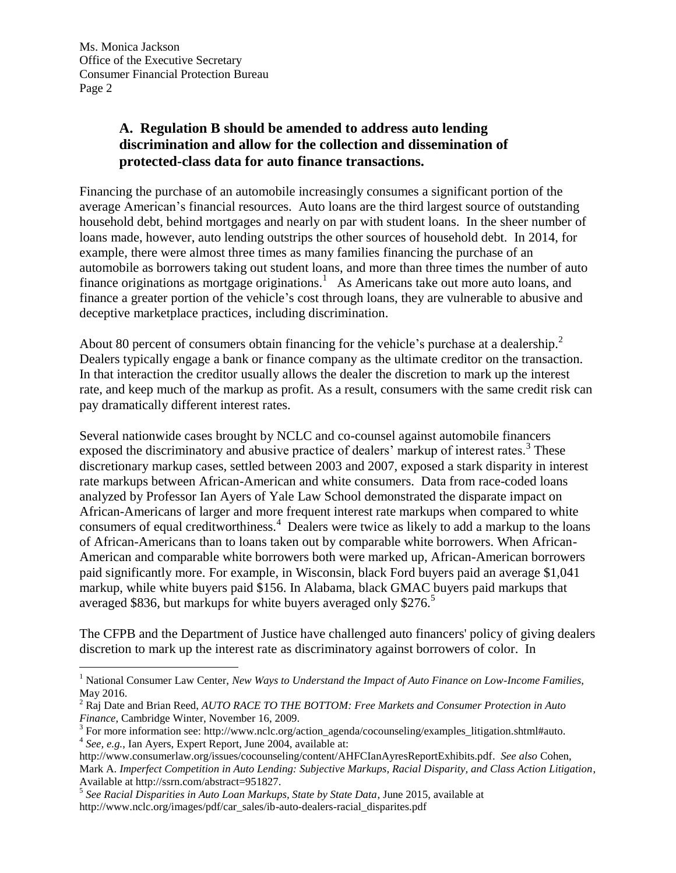$\overline{a}$ 

## **A. Regulation B should be amended to address auto lending discrimination and allow for the collection and dissemination of protected-class data for auto finance transactions.**

Financing the purchase of an automobile increasingly consumes a significant portion of the average American's financial resources. Auto loans are the third largest source of outstanding household debt, behind mortgages and nearly on par with student loans. In the sheer number of loans made, however, auto lending outstrips the other sources of household debt. In 2014, for example, there were almost three times as many families financing the purchase of an automobile as borrowers taking out student loans, and more than three times the number of auto finance originations as mortgage originations.<sup>1</sup> As Americans take out more auto loans, and finance a greater portion of the vehicle's cost through loans, they are vulnerable to abusive and deceptive marketplace practices, including discrimination.

About 80 percent of consumers obtain financing for the vehicle's purchase at a dealership.<sup>2</sup> Dealers typically engage a bank or finance company as the ultimate creditor on the transaction. In that interaction the creditor usually allows the dealer the discretion to mark up the interest rate, and keep much of the markup as profit. As a result, consumers with the same credit risk can pay dramatically different interest rates.

Several nationwide cases brought by NCLC and co-counsel against automobile financers exposed the discriminatory and abusive practice of dealers' markup of interest rates.<sup>3</sup> These discretionary markup cases, settled between 2003 and 2007, exposed a stark disparity in interest rate markups between African-American and white consumers. Data from race-coded loans analyzed by Professor Ian Ayers of Yale Law School demonstrated the disparate impact on African-Americans of larger and more frequent interest rate markups when compared to white consumers of equal creditworthiness.<sup>4</sup> Dealers were twice as likely to add a markup to the loans of African-Americans than to loans taken out by comparable white borrowers. When African-American and comparable white borrowers both were marked up, African-American borrowers paid significantly more. For example, in Wisconsin, black Ford buyers paid an average \$1,041 markup, while white buyers paid \$156. In Alabama, black GMAC buyers paid markups that averaged \$836, but markups for white buyers averaged only \$276.<sup>5</sup>

The CFPB and the Department of Justice have challenged auto financers' policy of giving dealers discretion to mark up the interest rate as discriminatory against borrowers of color. In

<sup>1</sup> National Consumer Law Center, *New Ways to Understand the Impact of Auto Finance on Low-Income Families*, May 2016.

<sup>2</sup> Raj Date and Brian Reed, *AUTO RACE TO THE BOTTOM: Free Markets and Consumer Protection in Auto Finance*, Cambridge Winter, November 16, 2009.

 $3$  For more information see: http://www.nclc.org/action\_agenda/cocounseling/examples\_litigation.shtml#auto. 4 *See, e.g.*, Ian Ayers, Expert Report, June 2004, available at:

http://www.consumerlaw.org/issues/cocounseling/content/AHFCIanAyresReportExhibits.pdf. *See also* Cohen, Mark A. *Imperfect Competition in Auto Lending: Subjective Markups, Racial Disparity, and Class Action Litigation*, Available at http://ssrn.com/abstract=951827.

<sup>5</sup> *See Racial Disparities in Auto Loan Markups, State by State Data*, June 2015, available at http://www.nclc.org/images/pdf/car\_sales/ib-auto-dealers-racial\_disparites.pdf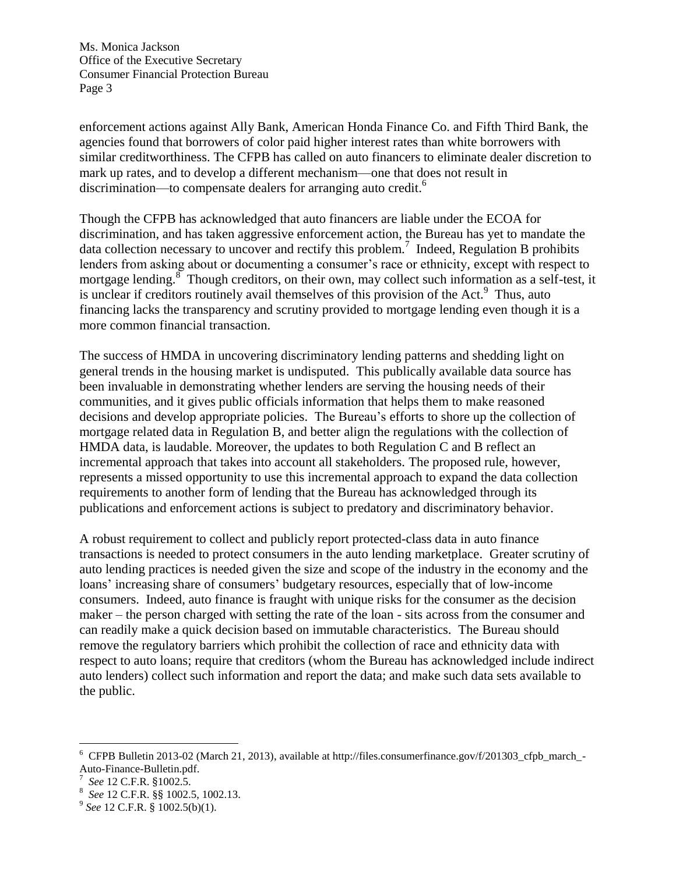enforcement actions against Ally Bank, American Honda Finance Co. and Fifth Third Bank, the agencies found that borrowers of color paid higher interest rates than white borrowers with similar creditworthiness. The CFPB has called on auto financers to eliminate dealer discretion to mark up rates, and to develop a different mechanism—one that does not result in discrimination—to compensate dealers for arranging auto credit.<sup>6</sup>

Though the CFPB has acknowledged that auto financers are liable under the ECOA for discrimination, and has taken aggressive enforcement action, the Bureau has yet to mandate the data collection necessary to uncover and rectify this problem. 7 Indeed, Regulation B prohibits lenders from asking about or documenting a consumer's race or ethnicity, except with respect to mortgage lending.<sup>8</sup> Though creditors, on their own, may collect such information as a self-test, it is unclear if creditors routinely avail themselves of this provision of the Act.<sup>9</sup> Thus, auto financing lacks the transparency and scrutiny provided to mortgage lending even though it is a more common financial transaction.

The success of HMDA in uncovering discriminatory lending patterns and shedding light on general trends in the housing market is undisputed. This publically available data source has been invaluable in demonstrating whether lenders are serving the housing needs of their communities, and it gives public officials information that helps them to make reasoned decisions and develop appropriate policies. The Bureau's efforts to shore up the collection of mortgage related data in Regulation B, and better align the regulations with the collection of HMDA data, is laudable. Moreover, the updates to both Regulation C and B reflect an incremental approach that takes into account all stakeholders. The proposed rule, however, represents a missed opportunity to use this incremental approach to expand the data collection requirements to another form of lending that the Bureau has acknowledged through its publications and enforcement actions is subject to predatory and discriminatory behavior.

A robust requirement to collect and publicly report protected-class data in auto finance transactions is needed to protect consumers in the auto lending marketplace. Greater scrutiny of auto lending practices is needed given the size and scope of the industry in the economy and the loans' increasing share of consumers' budgetary resources, especially that of low-income consumers. Indeed, auto finance is fraught with unique risks for the consumer as the decision maker – the person charged with setting the rate of the loan - sits across from the consumer and can readily make a quick decision based on immutable characteristics. The Bureau should remove the regulatory barriers which prohibit the collection of race and ethnicity data with respect to auto loans; require that creditors (whom the Bureau has acknowledged include indirect auto lenders) collect such information and report the data; and make such data sets available to the public.

 $\overline{a}$ 

<sup>&</sup>lt;sup>6</sup> CFPB Bulletin 2013-02 (March 21, 2013), available at http://files.consumerfinance.gov/f/201303\_cfpb\_march\_-Auto-Finance-Bulletin.pdf.

<sup>7</sup> *See* 12 C.F.R. §1002.5.

<sup>8</sup> *See* 12 C.F.R. §§ 1002.5, 1002.13.

<sup>9</sup> *See* 12 C.F.R. § 1002.5(b)(1).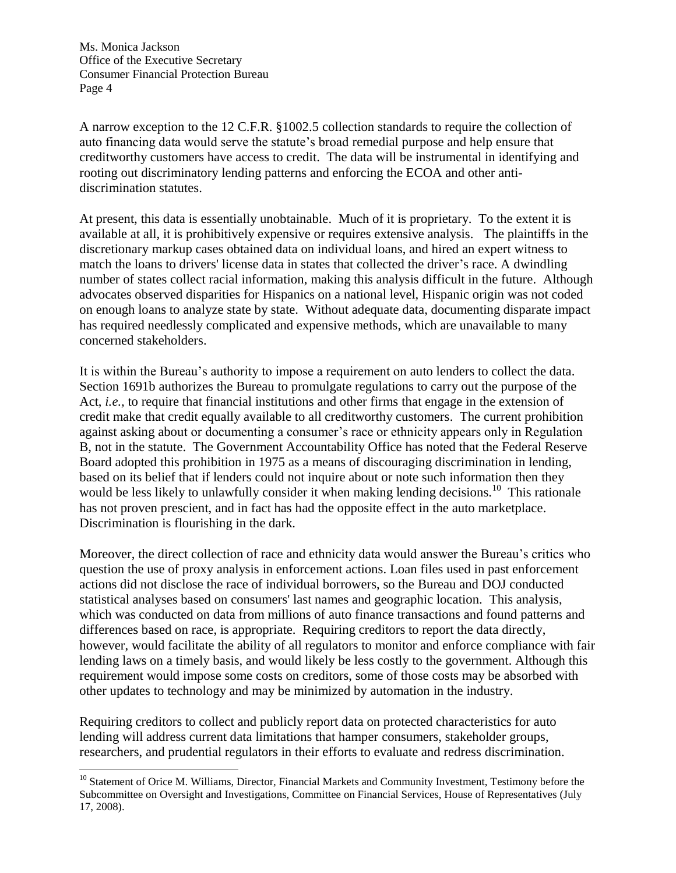$\overline{a}$ 

A narrow exception to the 12 C.F.R. §1002.5 collection standards to require the collection of auto financing data would serve the statute's broad remedial purpose and help ensure that creditworthy customers have access to credit. The data will be instrumental in identifying and rooting out discriminatory lending patterns and enforcing the ECOA and other antidiscrimination statutes.

At present, this data is essentially unobtainable. Much of it is proprietary. To the extent it is available at all, it is prohibitively expensive or requires extensive analysis. The plaintiffs in the discretionary markup cases obtained data on individual loans, and hired an expert witness to match the loans to drivers' license data in states that collected the driver's race. A dwindling number of states collect racial information, making this analysis difficult in the future. Although advocates observed disparities for Hispanics on a national level, Hispanic origin was not coded on enough loans to analyze state by state. Without adequate data, documenting disparate impact has required needlessly complicated and expensive methods, which are unavailable to many concerned stakeholders.

It is within the Bureau's authority to impose a requirement on auto lenders to collect the data. Section 1691b authorizes the Bureau to promulgate regulations to carry out the purpose of the Act, *i.e.,* to require that financial institutions and other firms that engage in the extension of credit make that credit equally available to all creditworthy customers. The current prohibition against asking about or documenting a consumer's race or ethnicity appears only in Regulation B, not in the statute. The Government Accountability Office has noted that the Federal Reserve Board adopted this prohibition in 1975 as a means of discouraging discrimination in lending, based on its belief that if lenders could not inquire about or note such information then they would be less likely to unlawfully consider it when making lending decisions.<sup>10</sup> This rationale has not proven prescient, and in fact has had the opposite effect in the auto marketplace. Discrimination is flourishing in the dark.

Moreover, the direct collection of race and ethnicity data would answer the Bureau's critics who question the use of proxy analysis in enforcement actions. Loan files used in past enforcement actions did not disclose the race of individual borrowers, so the Bureau and DOJ conducted statistical analyses based on consumers' last names and geographic location. This analysis, which was conducted on data from millions of auto finance transactions and found patterns and differences based on race, is appropriate. Requiring creditors to report the data directly, however, would facilitate the ability of all regulators to monitor and enforce compliance with fair lending laws on a timely basis, and would likely be less costly to the government. Although this requirement would impose some costs on creditors, some of those costs may be absorbed with other updates to technology and may be minimized by automation in the industry.

Requiring creditors to collect and publicly report data on protected characteristics for auto lending will address current data limitations that hamper consumers, stakeholder groups, researchers, and prudential regulators in their efforts to evaluate and redress discrimination.

<sup>&</sup>lt;sup>10</sup> Statement of Orice M. Williams, Director, Financial Markets and Community Investment, Testimony before the Subcommittee on Oversight and Investigations, Committee on Financial Services, House of Representatives (July 17, 2008).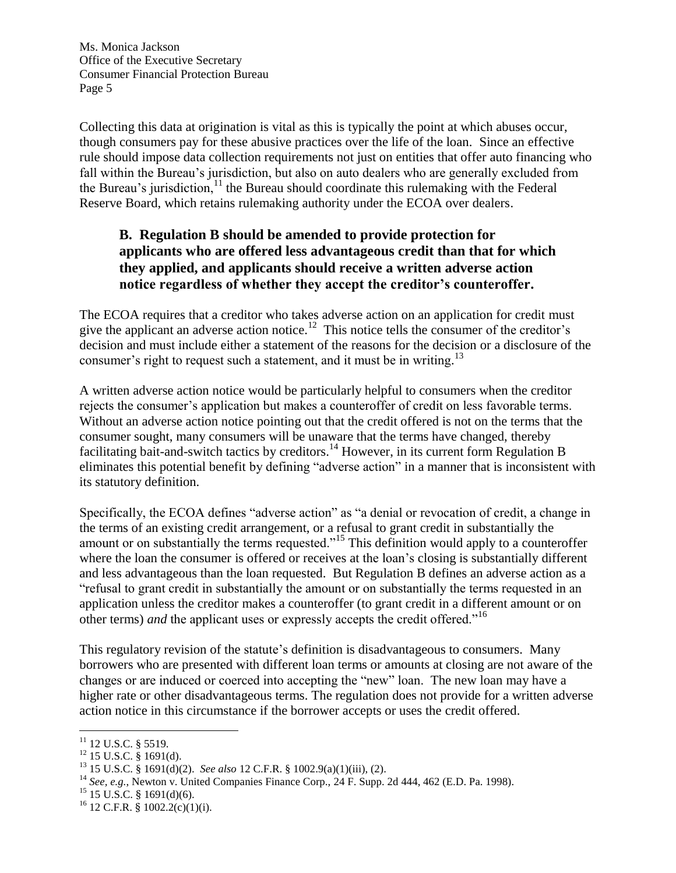Collecting this data at origination is vital as this is typically the point at which abuses occur, though consumers pay for these abusive practices over the life of the loan. Since an effective rule should impose data collection requirements not just on entities that offer auto financing who fall within the Bureau's jurisdiction, but also on auto dealers who are generally excluded from the Bureau's jurisdiction, $11$  the Bureau should coordinate this rulemaking with the Federal Reserve Board, which retains rulemaking authority under the ECOA over dealers.

## **B. Regulation B should be amended to provide protection for applicants who are offered less advantageous credit than that for which they applied, and applicants should receive a written adverse action notice regardless of whether they accept the creditor's counteroffer.**

The ECOA requires that a creditor who takes adverse action on an application for credit must give the applicant an adverse action notice.<sup>12</sup> This notice tells the consumer of the creditor's decision and must include either a statement of the reasons for the decision or a disclosure of the consumer's right to request such a statement, and it must be in writing.<sup>13</sup>

A written adverse action notice would be particularly helpful to consumers when the creditor rejects the consumer's application but makes a counteroffer of credit on less favorable terms. Without an adverse action notice pointing out that the credit offered is not on the terms that the consumer sought, many consumers will be unaware that the terms have changed, thereby facilitating bait-and-switch tactics by creditors.<sup>14</sup> However, in its current form Regulation B eliminates this potential benefit by defining "adverse action" in a manner that is inconsistent with its statutory definition.

Specifically, the ECOA defines "adverse action" as "a denial or revocation of credit, a change in the terms of an existing credit arrangement, or a refusal to grant credit in substantially the amount or on substantially the terms requested."<sup>15</sup> This definition would apply to a counteroffer where the loan the consumer is offered or receives at the loan's closing is substantially different and less advantageous than the loan requested. But Regulation B defines an adverse action as a "refusal to grant credit in substantially the amount or on substantially the terms requested in an application unless the creditor makes a counteroffer (to grant credit in a different amount or on other terms) *and* the applicant uses or expressly accepts the credit offered."<sup>16</sup>

This regulatory revision of the statute's definition is disadvantageous to consumers. Many borrowers who are presented with different loan terms or amounts at closing are not aware of the changes or are induced or coerced into accepting the "new" loan. The new loan may have a higher rate or other disadvantageous terms. The regulation does not provide for a written adverse action notice in this circumstance if the borrower accepts or uses the credit offered.

 $\overline{a}$ <sup>11</sup> 12 U.S.C. § 5519.

 $12$  15 U.S.C. § 1691(d).

<sup>13</sup> 15 U.S.C. § 1691(d)(2). *See also* 12 C.F.R. § 1002.9(a)(1)(iii), (2).

<sup>14</sup> *See, e.g.*, Newton v. United Companies Finance Corp., 24 F. Supp. 2d 444, 462 (E.D. Pa. 1998).

 $15$  15 U.S.C. § 1691(d)(6).

 $^{16}$  12 C.F.R. § 1002.2(c)(1)(i).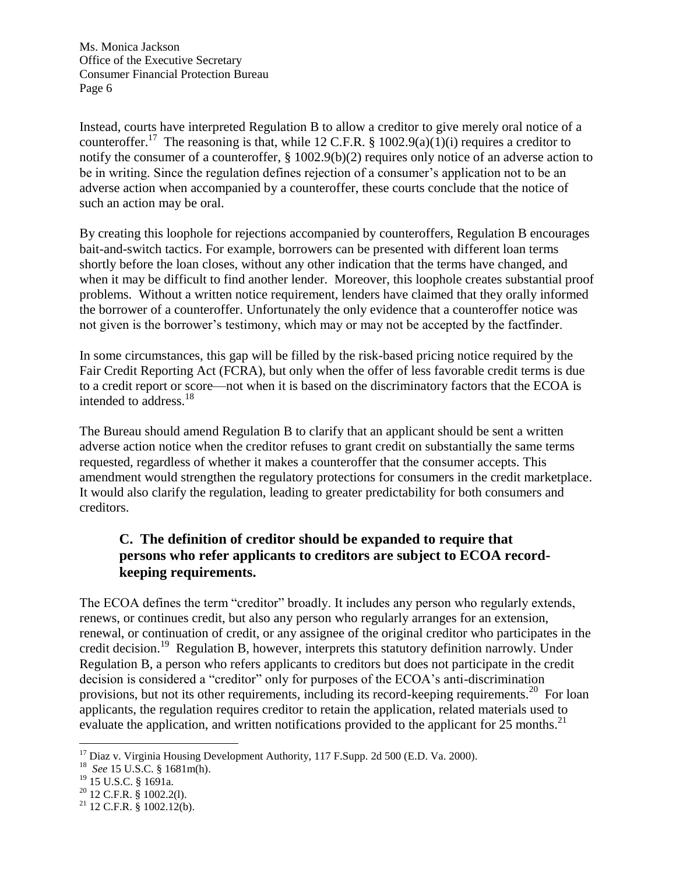Instead, courts have interpreted Regulation B to allow a creditor to give merely oral notice of a counteroffer.<sup>17</sup> The reasoning is that, while 12 C.F.R. § 1002.9(a)(1)(i) requires a creditor to notify the consumer of a counteroffer, § 1002.9(b)(2) requires only notice of an adverse action to be in writing. Since the regulation defines rejection of a consumer's application not to be an adverse action when accompanied by a counteroffer, these courts conclude that the notice of such an action may be oral.

By creating this loophole for rejections accompanied by counteroffers, Regulation B encourages bait-and-switch tactics. For example, borrowers can be presented with different loan terms shortly before the loan closes, without any other indication that the terms have changed, and when it may be difficult to find another lender. Moreover, this loophole creates substantial proof problems. Without a written notice requirement, lenders have claimed that they orally informed the borrower of a counteroffer. Unfortunately the only evidence that a counteroffer notice was not given is the borrower's testimony, which may or may not be accepted by the factfinder.

In some circumstances, this gap will be filled by the risk-based pricing notice required by the Fair Credit Reporting Act (FCRA), but only when the offer of less favorable credit terms is due to a credit report or score—not when it is based on the discriminatory factors that the ECOA is intended to address.<sup>18</sup>

The Bureau should amend Regulation B to clarify that an applicant should be sent a written adverse action notice when the creditor refuses to grant credit on substantially the same terms requested, regardless of whether it makes a counteroffer that the consumer accepts. This amendment would strengthen the regulatory protections for consumers in the credit marketplace. It would also clarify the regulation, leading to greater predictability for both consumers and creditors.

## **C. The definition of creditor should be expanded to require that persons who refer applicants to creditors are subject to ECOA recordkeeping requirements.**

The ECOA defines the term "creditor" broadly. It includes any person who regularly extends, renews, or continues credit, but also any person who regularly arranges for an extension, renewal, or continuation of credit, or any assignee of the original creditor who participates in the credit decision. <sup>19</sup> Regulation B, however, interprets this statutory definition narrowly. Under Regulation B, a person who refers applicants to creditors but does not participate in the credit decision is considered a "creditor" only for purposes of the ECOA's anti-discrimination provisions, but not its other requirements, including its record-keeping requirements.<sup>20</sup> For loan applicants, the regulation requires creditor to retain the application, related materials used to evaluate the application, and written notifications provided to the applicant for 25 months.<sup>21</sup>

 $\overline{a}$ 

 $17$  Diaz v. Virginia Housing Development Authority, 117 F. Supp. 2d 500 (E.D. Va. 2000).

<sup>18</sup> *See* 15 U.S.C. § 1681m(h).

<sup>19</sup> 15 U.S.C. § 1691a.

 $20$  12 C.F.R. § 1002.2(1).

 $21$  12 C.F.R. § 1002.12(b).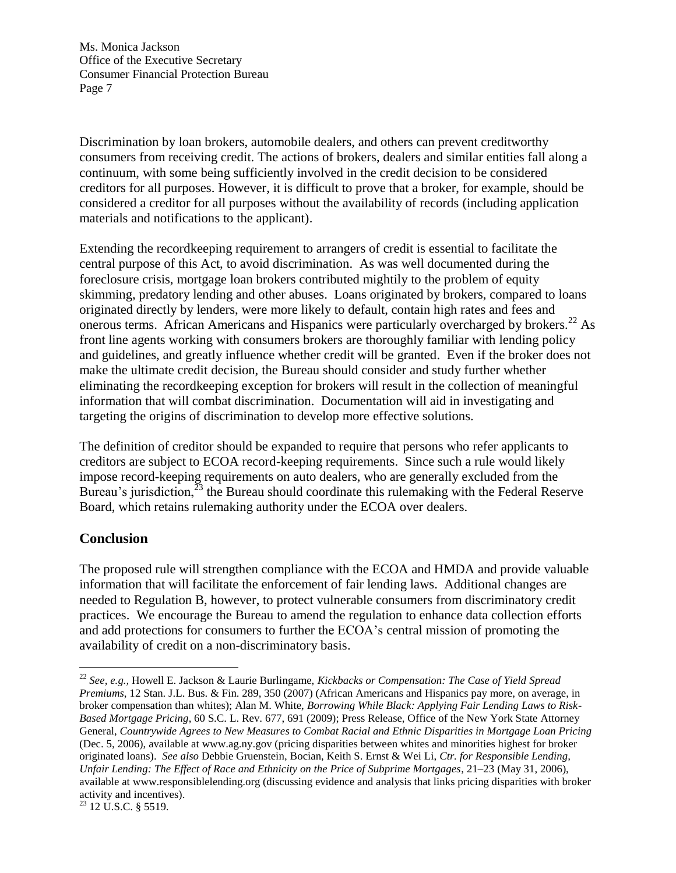Discrimination by loan brokers, automobile dealers, and others can prevent creditworthy consumers from receiving credit. The actions of brokers, dealers and similar entities fall along a continuum, with some being sufficiently involved in the credit decision to be considered creditors for all purposes. However, it is difficult to prove that a broker, for example, should be considered a creditor for all purposes without the availability of records (including application materials and notifications to the applicant).

Extending the recordkeeping requirement to arrangers of credit is essential to facilitate the central purpose of this Act, to avoid discrimination. As was well documented during the foreclosure crisis, mortgage loan brokers contributed mightily to the problem of equity skimming, predatory lending and other abuses. Loans originated by brokers, compared to loans originated directly by lenders, were more likely to default, contain high rates and fees and onerous terms. African Americans and Hispanics were particularly overcharged by brokers.<sup>22</sup> As front line agents working with consumers brokers are thoroughly familiar with lending policy and guidelines, and greatly influence whether credit will be granted. Even if the broker does not make the ultimate credit decision, the Bureau should consider and study further whether eliminating the recordkeeping exception for brokers will result in the collection of meaningful information that will combat discrimination. Documentation will aid in investigating and targeting the origins of discrimination to develop more effective solutions.

The definition of creditor should be expanded to require that persons who refer applicants to creditors are subject to ECOA record-keeping requirements. Since such a rule would likely impose record-keeping requirements on auto dealers, who are generally excluded from the Bureau's jurisdiction,  $^{23}$  the Bureau should coordinate this rulemaking with the Federal Reserve Board, which retains rulemaking authority under the ECOA over dealers.

## **Conclusion**

 $\overline{a}$ 

The proposed rule will strengthen compliance with the ECOA and HMDA and provide valuable information that will facilitate the enforcement of fair lending laws. Additional changes are needed to Regulation B, however, to protect vulnerable consumers from discriminatory credit practices. We encourage the Bureau to amend the regulation to enhance data collection efforts and add protections for consumers to further the ECOA's central mission of promoting the availability of credit on a non-discriminatory basis.

<sup>22</sup> *See, e.g.,* Howell E. Jackson & Laurie Burlingame, *Kickbacks or Compensation: The Case of Yield Spread Premiums*, 12 Stan. J.L. Bus. & Fin. 289, 350 (2007) (African Americans and Hispanics pay more, on average, in broker compensation than whites); Alan M. White, *Borrowing While Black: Applying Fair Lending Laws to Risk-Based Mortgage Pricing*, 60 S.C. L. Rev. 677, 691 (2009); Press Release, Office of the New York State Attorney General, *Countrywide Agrees to New Measures to Combat Racial and Ethnic Disparities in Mortgage Loan Pricing* (Dec. 5, 2006), available at www.ag.ny.gov (pricing disparities between whites and minorities highest for broker originated loans). *See also* Debbie Gruenstein, Bocian, Keith S. Ernst & Wei Li, *Ctr. for Responsible Lending, Unfair Lending: The Effect of Race and Ethnicity on the Price of Subprime Mortgages*, 21–23 (May 31, 2006), available at www.responsiblelending.org (discussing evidence and analysis that links pricing disparities with broker activity and incentives).

<sup>&</sup>lt;sup>23</sup> 12 U.S.C. § 5519.